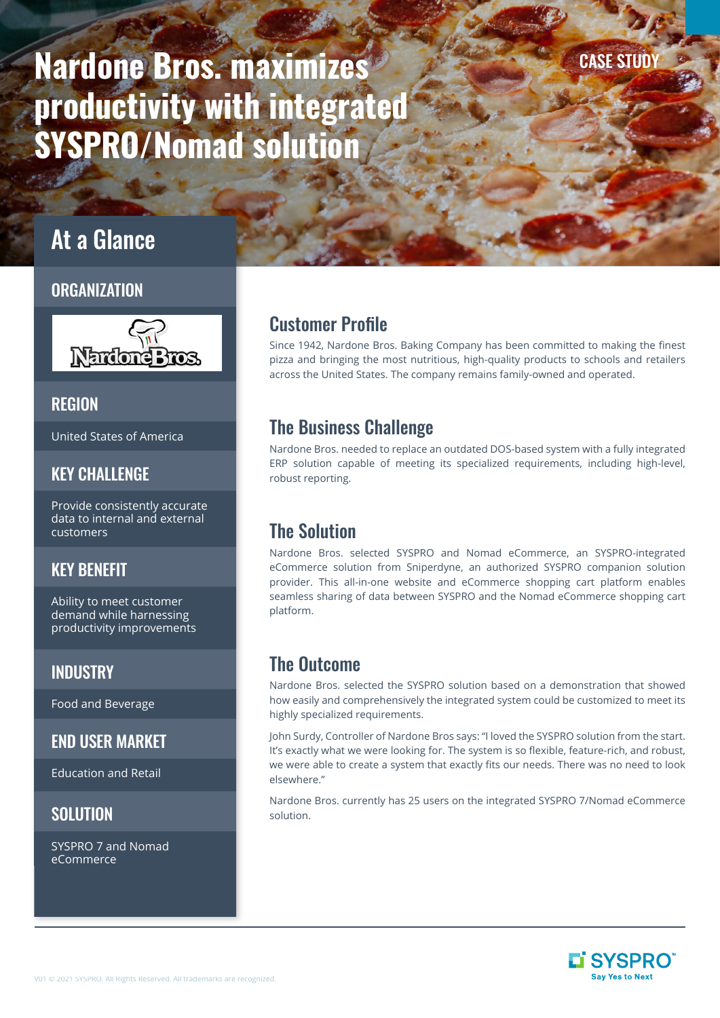# Nardone Bros. maximizes productivity with integrated SYSPRO/Nomad solution

## At a Glance

#### **ORGANIZATION**



#### **REGION**

United States of America

#### KEY CHALLENGE

Provide consistently accurate data to internal and external customers

#### KEY BENEFIT

Ability to meet customer demand while harnessing productivity improvements

#### **INDUSTRY**

Food and Beverage

#### END USER MARKET

Education and Retail

#### **SOLUTION**

SYSPRO 7 and Nomad eCommerce

## Customer Profile

Since 1942, Nardone Bros. Baking Company has been committed to making the finest pizza and bringing the most nutritious, high-quality products to schools and retailers across the United States. The company remains family-owned and operated.

## The Business Challenge

Nardone Bros. needed to replace an outdated DOS-based system with a fully integrated ERP solution capable of meeting its specialized requirements, including high-level, robust reporting.

## The Solution

Nardone Bros. selected SYSPRO and Nomad eCommerce, an SYSPRO-integrated eCommerce solution from Sniperdyne, an authorized SYSPRO companion solution provider. This all-in-one website and eCommerce shopping cart platform enables seamless sharing of data between SYSPRO and the Nomad eCommerce shopping cart platform.

## The Outcome

Nardone Bros. selected the SYSPRO solution based on a demonstration that showed how easily and comprehensively the integrated system could be customized to meet its highly specialized requirements.

John Surdy, Controller of Nardone Bros says: "I loved the SYSPRO solution from the start. It's exactly what we were looking for. The system is so flexible, feature-rich, and robust, we were able to create a system that exactly fits our needs. There was no need to look elsewhere."

Nardone Bros. currently has 25 users on the integrated SYSPRO 7/Nomad eCommerce solution.



**CASE STUD**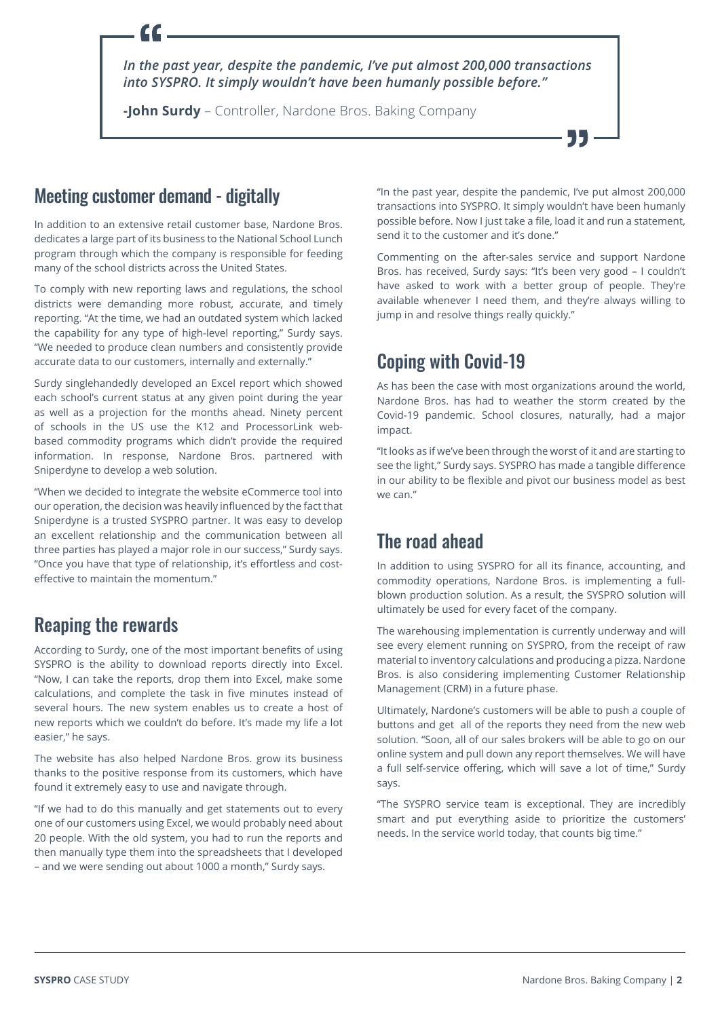*In the past year, despite the pandemic, I've put almost 200,000 transactions into SYSPRO. It simply wouldn't have been humanly possible before."*

**-John Surdy** – Controller, Nardone Bros. Baking Company

#### Meeting customer demand - digitally

In addition to an extensive retail customer base, Nardone Bros. dedicates a large part of its business to the National School Lunch program through which the company is responsible for feeding many of the school districts across the United States.

To comply with new reporting laws and regulations, the school districts were demanding more robust, accurate, and timely reporting. "At the time, we had an outdated system which lacked the capability for any type of high-level reporting," Surdy says. "We needed to produce clean numbers and consistently provide accurate data to our customers, internally and externally."

Surdy singlehandedly developed an Excel report which showed each school's current status at any given point during the year as well as a projection for the months ahead. Ninety percent of schools in the US use the K12 and ProcessorLink webbased commodity programs which didn't provide the required information. In response, Nardone Bros. partnered with Sniperdyne to develop a web solution.

"When we decided to integrate the website eCommerce tool into our operation, the decision was heavily influenced by the fact that Sniperdyne is a trusted SYSPRO partner. It was easy to develop an excellent relationship and the communication between all three parties has played a major role in our success," Surdy says. "Once you have that type of relationship, it's effortless and costeffective to maintain the momentum."

### Reaping the rewards

According to Surdy, one of the most important benefits of using SYSPRO is the ability to download reports directly into Excel. "Now, I can take the reports, drop them into Excel, make some calculations, and complete the task in five minutes instead of several hours. The new system enables us to create a host of new reports which we couldn't do before. It's made my life a lot easier," he says.

The website has also helped Nardone Bros. grow its business thanks to the positive response from its customers, which have found it extremely easy to use and navigate through.

"If we had to do this manually and get statements out to every one of our customers using Excel, we would probably need about 20 people. With the old system, you had to run the reports and then manually type them into the spreadsheets that I developed – and we were sending out about 1000 a month," Surdy says.

"In the past year, despite the pandemic, I've put almost 200,000 transactions into SYSPRO. It simply wouldn't have been humanly possible before. Now I just take a file, load it and run a statement, send it to the customer and it's done."

Commenting on the after-sales service and support Nardone Bros. has received, Surdy says: "It's been very good – I couldn't have asked to work with a better group of people. They're available whenever I need them, and they're always willing to jump in and resolve things really quickly."

## Coping with Covid-19

As has been the case with most organizations around the world, Nardone Bros. has had to weather the storm created by the Covid-19 pandemic. School closures, naturally, had a major impact.

"It looks as if we've been through the worst of it and are starting to see the light," Surdy says. SYSPRO has made a tangible difference in our ability to be flexible and pivot our business model as best we can."

## The road ahead

In addition to using SYSPRO for all its finance, accounting, and commodity operations, Nardone Bros. is implementing a fullblown production solution. As a result, the SYSPRO solution will ultimately be used for every facet of the company.

The warehousing implementation is currently underway and will see every element running on SYSPRO, from the receipt of raw material to inventory calculations and producing a pizza. Nardone Bros. is also considering implementing Customer Relationship Management (CRM) in a future phase.

Ultimately, Nardone's customers will be able to push a couple of buttons and get all of the reports they need from the new web solution. "Soon, all of our sales brokers will be able to go on our online system and pull down any report themselves. We will have a full self-service offering, which will save a lot of time," Surdy says.

"The SYSPRO service team is exceptional. They are incredibly smart and put everything aside to prioritize the customers' needs. In the service world today, that counts big time."